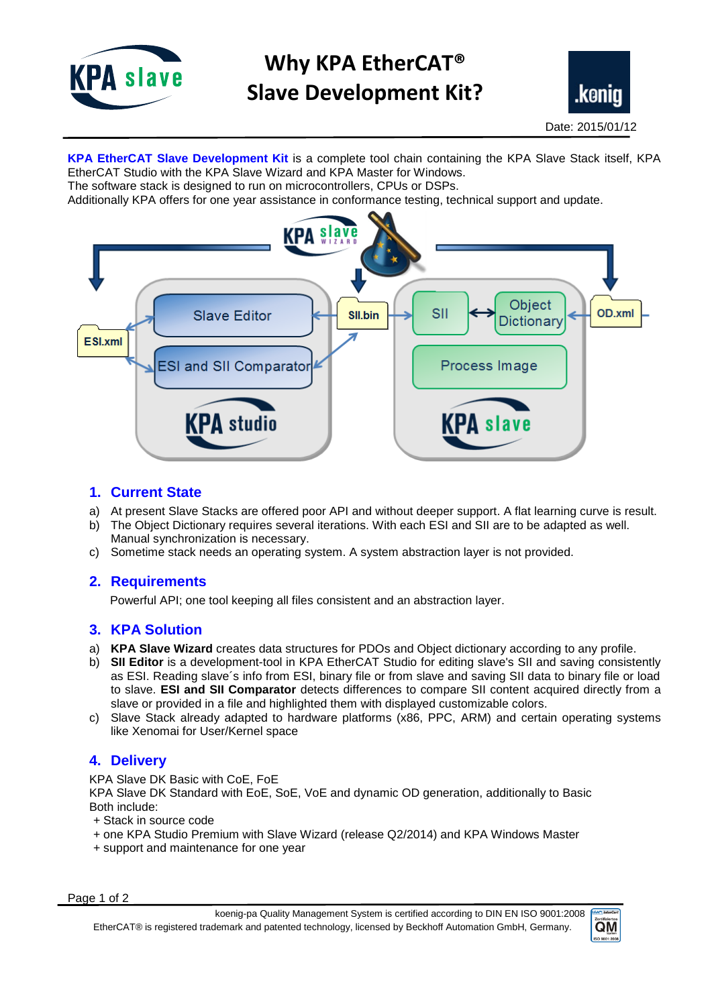

# **Why KPA EtherCAT® Slave Development Kit?**



**KPA EtherCAT Slave Development Kit** is a complete tool chain containing the KPA Slave Stack itself, KPA EtherCAT Studio with the KPA Slave Wizard and KPA Master for Windows.

The software stack is designed to run on microcontrollers, CPUs or DSPs.

Additionally KPA offers for one year assistance in conformance testing, technical support and update.



#### **1. Current State**

- a) At present Slave Stacks are offered poor API and without deeper support. A flat learning curve is result.
- b) The Object Dictionary requires several iterations. With each ESI and SII are to be adapted as well. Manual synchronization is necessary.
- c) Sometime stack needs an operating system. A system abstraction layer is not provided.

### **2. Requirements**

Powerful API; one tool keeping all files consistent and an abstraction layer.

#### **3. KPA Solution**

- a) **KPA Slave Wizard** creates data structures for PDOs and Object dictionary according to any profile.
- b) **SII Editor** is a development-tool in KPA EtherCAT Studio for editing slave's SII and saving consistently as ESI. Reading slave´s info from ESI, binary file or from slave and saving SII data to binary file or load to slave. **ESI and SII Comparator** detects differences to compare SII content acquired directly from a slave or provided in a file and highlighted them with displayed customizable colors.
- c) Slave Stack already adapted to hardware platforms (x86, PPC, ARM) and certain operating systems like Xenomai for User/Kernel space

## **4. Delivery**

KPA Slave DK Basic with CoE, FoE KPA Slave DK Standard with EoE, SoE, VoE and dynamic OD generation, additionally to Basic Both include:

- + Stack in source code
- + one KPA Studio Premium with Slave Wizard (release Q2/2014) and KPA Windows Master
- + support and maintenance for one year